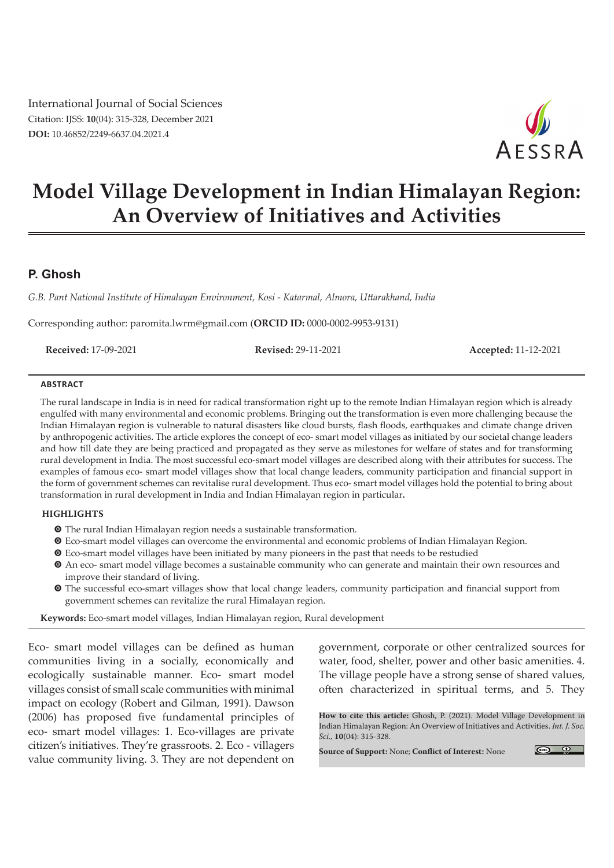International Journal of Social Sciences Citation: IJSS: **10**(04): 315-328, December 2021 **DOI:** 10.46852/2249-6637.04.2021.4



# **Model Village Development in Indian Himalayan Region: An Overview of Initiatives and Activities**

# **P. Ghosh**

*G.B. Pant National Institute of Himalayan Environment, Kosi - Katarmal, Almora, Uttarakhand, India*

Corresponding author: paromita.lwrm@gmail.com (**ORCID ID:** 0000-0002-9953-9131)

**Received:** 17-09-2021 **Revised:** 29-11-2021 **Accepted:** 11-12-2021

#### **Abstract**

The rural landscape in India is in need for radical transformation right up to the remote Indian Himalayan region which is already engulfed with many environmental and economic problems. Bringing out the transformation is even more challenging because the Indian Himalayan region is vulnerable to natural disasters like cloud bursts, flash floods, earthquakes and climate change driven by anthropogenic activities. The article explores the concept of eco- smart model villages as initiated by our societal change leaders and how till date they are being practiced and propagated as they serve as milestones for welfare of states and for transforming rural development in India. The most successful eco-smart model villages are described along with their attributes for success. The examples of famous eco- smart model villages show that local change leaders, community participation and financial support in the form of government schemes can revitalise rural development. Thus eco- smart model villages hold the potential to bring about transformation in rural development in India and Indian Himalayan region in particular**.**

#### **Highlights**

- **O** The rural Indian Himalayan region needs a sustainable transformation.
- m Eco-smart model villages can overcome the environmental and economic problems of Indian Himalayan Region.
- $\bullet$  Eco-smart model villages have been initiated by many pioneers in the past that needs to be restudied
- $\odot$  An eco- smart model village becomes a sustainable community who can generate and maintain their own resources and improve their standard of living.
- m The successful eco-smart villages show that local change leaders, community participation and financial support from government schemes can revitalize the rural Himalayan region.

**Keywords:** Eco-smart model villages, Indian Himalayan region, Rural development

Eco- smart model villages can be defined as human communities living in a socially, economically and ecologically sustainable manner. Eco- smart model villages consist of small scale communities with minimal impact on ecology (Robert and Gilman, 1991). Dawson (2006) has proposed five fundamental principles of eco- smart model villages: 1. Eco-villages are private citizen's initiatives. They're grassroots. 2. Eco - villagers value community living. 3. They are not dependent on

government, corporate or other centralized sources for water, food, shelter, power and other basic amenities. 4. The village people have a strong sense of shared values, often characterized in spiritual terms, and 5. They

**How to cite this article:** Ghosh, P. (2021). Model Village Development in Indian Himalayan Region: An Overview of Initiatives and Activities. *Int. J. Soc. Sci.,* **10**(04): 315-328.

**Source of Support:** None; **Conflict of Interest:** None

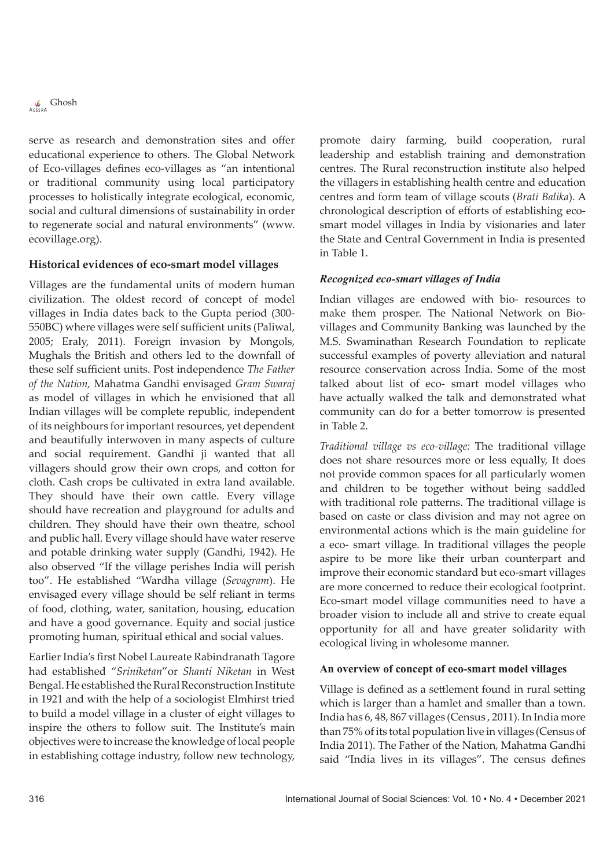

serve as research and demonstration sites and offer educational experience to others. The Global Network of Eco-villages defines eco-villages as "an intentional or traditional community using local participatory processes to holistically integrate ecological, economic, social and cultural dimensions of sustainability in order to regenerate social and natural environments" (www. ecovillage.org).

#### **Historical evidences of eco-smart model villages**

Villages are the fundamental units of modern human civilization. The oldest record of concept of model villages in India dates back to the Gupta period (300- 550BC) where villages were self sufficient units (Paliwal, 2005; Eraly, 2011). Foreign invasion by Mongols, Mughals the British and others led to the downfall of these self sufficient units. Post independence *The Father of the Nation,* Mahatma Gandhi envisaged *Gram Swaraj* as model of villages in which he envisioned that all Indian villages will be complete republic, independent of its neighbours for important resources, yet dependent and beautifully interwoven in many aspects of culture and social requirement. Gandhi ji wanted that all villagers should grow their own crops, and cotton for cloth. Cash crops be cultivated in extra land available. They should have their own cattle. Every village should have recreation and playground for adults and children. They should have their own theatre, school and public hall. Every village should have water reserve and potable drinking water supply (Gandhi, 1942). He also observed "If the village perishes India will perish too". He established "Wardha village (*Sevagram*). He envisaged every village should be self reliant in terms of food, clothing, water, sanitation, housing, education and have a good governance. Equity and social justice promoting human, spiritual ethical and social values.

Earlier India's first Nobel Laureate Rabindranath Tagore had established "*Sriniketan*"or *Shanti Niketan* in West Bengal. He established the Rural Reconstruction Institute in 1921 and with the help of a sociologist Elmhirst tried to build a model village in a cluster of eight villages to inspire the others to follow suit. The Institute's main objectives were to increase the knowledge of local people in establishing cottage industry, follow new technology,

promote dairy farming, build cooperation, rural leadership and establish training and demonstration centres. The Rural reconstruction institute also helped the villagers in establishing health centre and education centres and form team of village scouts (*Brati Balika*). A chronological description of efforts of establishing ecosmart model villages in India by visionaries and later the State and Central Government in India is presented in Table 1.

#### *Recognized eco-smart villages of India*

Indian villages are endowed with bio- resources to make them prosper. The National Network on Biovillages and Community Banking was launched by the M.S. Swaminathan Research Foundation to replicate successful examples of poverty alleviation and natural resource conservation across India. Some of the most talked about list of eco- smart model villages who have actually walked the talk and demonstrated what community can do for a better tomorrow is presented in Table 2.

*Traditional village vs eco-village:* The traditional village does not share resources more or less equally, It does not provide common spaces for all particularly women and children to be together without being saddled with traditional role patterns. The traditional village is based on caste or class division and may not agree on environmental actions which is the main guideline for a eco- smart village. In traditional villages the people aspire to be more like their urban counterpart and improve their economic standard but eco-smart villages are more concerned to reduce their ecological footprint. Eco-smart model village communities need to have a broader vision to include all and strive to create equal opportunity for all and have greater solidarity with ecological living in wholesome manner.

#### **An overview of concept of eco-smart model villages**

Village is defined as a settlement found in rural setting which is larger than a hamlet and smaller than a town. India has 6, 48, 867 villages (Census , 2011). In India more than 75% of its total population live in villages (Census of India 2011). The Father of the Nation, Mahatma Gandhi said "India lives in its villages". The census defines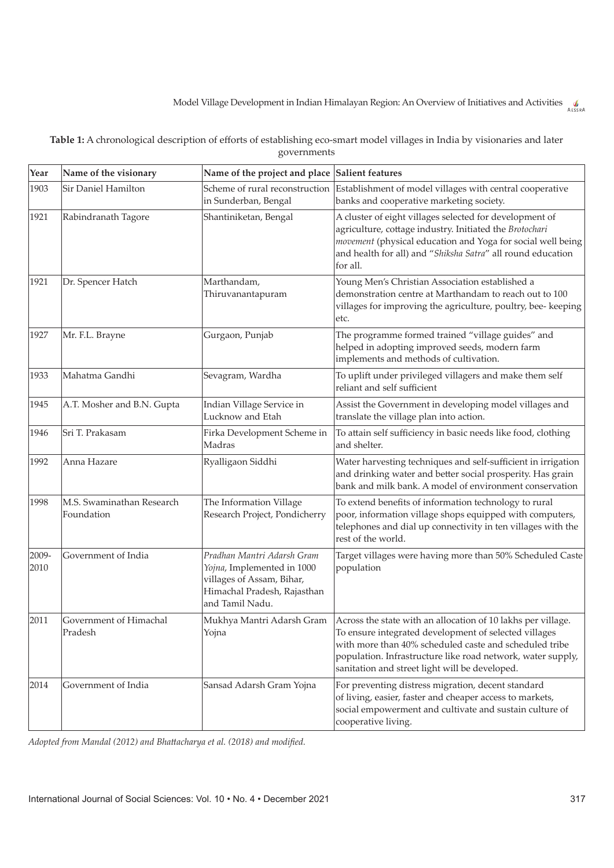| Table 1: A chronological description of efforts of establishing eco-smart model villages in India by visionaries and later |
|----------------------------------------------------------------------------------------------------------------------------|
| governments                                                                                                                |

| Year          | Name of the visionary                   | Name of the project and place Salient features                                                                                          |                                                                                                                                                                                                                                                                                                  |
|---------------|-----------------------------------------|-----------------------------------------------------------------------------------------------------------------------------------------|--------------------------------------------------------------------------------------------------------------------------------------------------------------------------------------------------------------------------------------------------------------------------------------------------|
| 1903          | Sir Daniel Hamilton                     | Scheme of rural reconstruction<br>in Sunderban, Bengal                                                                                  | Establishment of model villages with central cooperative<br>banks and cooperative marketing society.                                                                                                                                                                                             |
| 1921          | Rabindranath Tagore                     | Shantiniketan, Bengal                                                                                                                   | A cluster of eight villages selected for development of<br>agriculture, cottage industry. Initiated the Brotochari<br>movement (physical education and Yoga for social well being<br>and health for all) and "Shiksha Satra" all round education<br>for all.                                     |
| 1921          | Dr. Spencer Hatch                       | Marthandam,<br>Thiruvanantapuram                                                                                                        | Young Men's Christian Association established a<br>demonstration centre at Marthandam to reach out to 100<br>villages for improving the agriculture, poultry, bee- keeping<br>etc.                                                                                                               |
| 1927          | Mr. F.L. Brayne                         | Gurgaon, Punjab                                                                                                                         | The programme formed trained "village guides" and<br>helped in adopting improved seeds, modern farm<br>implements and methods of cultivation.                                                                                                                                                    |
| 1933          | Mahatma Gandhi                          | Sevagram, Wardha                                                                                                                        | To uplift under privileged villagers and make them self<br>reliant and self sufficient                                                                                                                                                                                                           |
| 1945          | A.T. Mosher and B.N. Gupta              | Indian Village Service in<br>Lucknow and Etah                                                                                           | Assist the Government in developing model villages and<br>translate the village plan into action.                                                                                                                                                                                                |
| 1946          | Sri T. Prakasam                         | Firka Development Scheme in<br>Madras                                                                                                   | To attain self sufficiency in basic needs like food, clothing<br>and shelter.                                                                                                                                                                                                                    |
| 1992          | Anna Hazare                             | Ryalligaon Siddhi                                                                                                                       | Water harvesting techniques and self-sufficient in irrigation<br>and drinking water and better social prosperity. Has grain<br>bank and milk bank. A model of environment conservation                                                                                                           |
| 1998          | M.S. Swaminathan Research<br>Foundation | The Information Village<br>Research Project, Pondicherry                                                                                | To extend benefits of information technology to rural<br>poor, information village shops equipped with computers,<br>telephones and dial up connectivity in ten villages with the<br>rest of the world.                                                                                          |
| 2009-<br>2010 | Government of India                     | Pradhan Mantri Adarsh Gram<br>Yojna, Implemented in 1000<br>villages of Assam, Bihar,<br>Himachal Pradesh, Rajasthan<br>and Tamil Nadu. | Target villages were having more than 50% Scheduled Caste<br>population                                                                                                                                                                                                                          |
| 2011          | Government of Himachal<br>Pradesh       | Mukhya Mantri Adarsh Gram<br>Yojna                                                                                                      | Across the state with an allocation of 10 lakhs per village.<br>To ensure integrated development of selected villages<br>with more than 40% scheduled caste and scheduled tribe<br>population. Infrastructure like road network, water supply,<br>sanitation and street light will be developed. |
| 2014          | Government of India                     | Sansad Adarsh Gram Yojna                                                                                                                | For preventing distress migration, decent standard<br>of living, easier, faster and cheaper access to markets,<br>social empowerment and cultivate and sustain culture of<br>cooperative living.                                                                                                 |

*Adopted from Mandal (2012) and Bhattacharya et al. (2018) and modified.*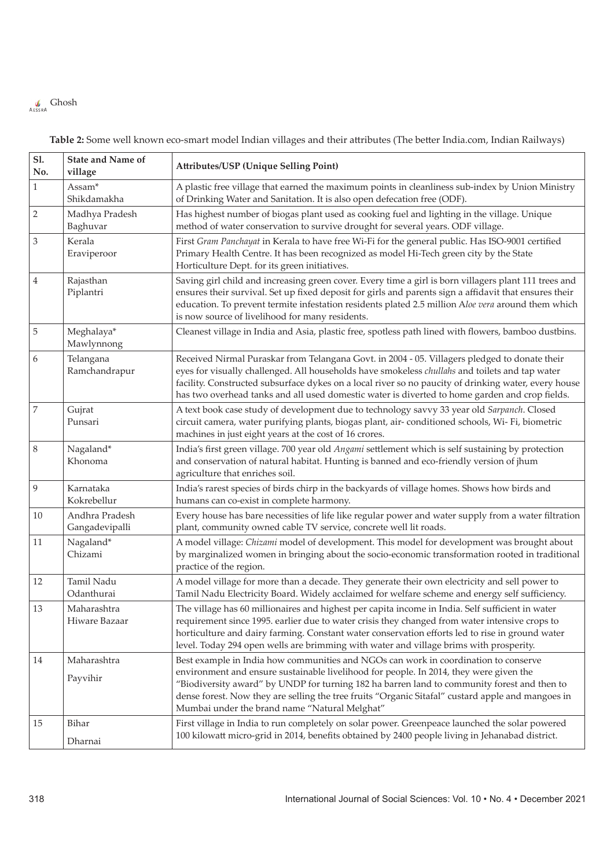# $\int_{AESRA}$  Ghosh

| <b>Sl.</b><br>No. | <b>State and Name of</b><br>village | <b>Attributes/USP (Unique Selling Point)</b>                                                                                                                                                                                                                                                                                                                                                                                       |
|-------------------|-------------------------------------|------------------------------------------------------------------------------------------------------------------------------------------------------------------------------------------------------------------------------------------------------------------------------------------------------------------------------------------------------------------------------------------------------------------------------------|
| $\mathbf{1}$      | Assam <sup>*</sup><br>Shikdamakha   | A plastic free village that earned the maximum points in cleanliness sub-index by Union Ministry<br>of Drinking Water and Sanitation. It is also open defecation free (ODF).                                                                                                                                                                                                                                                       |
| $\sqrt{2}$        | Madhya Pradesh<br>Baghuvar          | Has highest number of biogas plant used as cooking fuel and lighting in the village. Unique<br>method of water conservation to survive drought for several years. ODF village.                                                                                                                                                                                                                                                     |
| 3                 | Kerala<br>Eraviperoor               | First Gram Panchayat in Kerala to have free Wi-Fi for the general public. Has ISO-9001 certified<br>Primary Health Centre. It has been recognized as model Hi-Tech green city by the State<br>Horticulture Dept. for its green initiatives.                                                                                                                                                                                        |
| 4                 | Rajasthan<br>Piplantri              | Saving girl child and increasing green cover. Every time a girl is born villagers plant 111 trees and<br>ensures their survival. Set up fixed deposit for girls and parents sign a affidavit that ensures their<br>education. To prevent termite infestation residents plated 2.5 million Aloe vera around them which<br>is now source of livelihood for many residents.                                                           |
| 5                 | Meghalaya*<br>Mawlynnong            | Cleanest village in India and Asia, plastic free, spotless path lined with flowers, bamboo dustbins.                                                                                                                                                                                                                                                                                                                               |
| 6                 | Telangana<br>Ramchandrapur          | Received Nirmal Puraskar from Telangana Govt. in 2004 - 05. Villagers pledged to donate their<br>eyes for visually challenged. All households have smokeless chullahs and toilets and tap water<br>facility. Constructed subsurface dykes on a local river so no paucity of drinking water, every house<br>has two overhead tanks and all used domestic water is diverted to home garden and crop fields.                          |
| 7                 | Gujrat<br>Punsari                   | A text book case study of development due to technology savvy 33 year old Sarpanch. Closed<br>circuit camera, water purifying plants, biogas plant, air-conditioned schools, Wi-Fi, biometric<br>machines in just eight years at the cost of 16 crores.                                                                                                                                                                            |
| $\,$ 8 $\,$       | Nagaland*<br>Khonoma                | India's first green village. 700 year old Angami settlement which is self sustaining by protection<br>and conservation of natural habitat. Hunting is banned and eco-friendly version of jhum<br>agriculture that enriches soil.                                                                                                                                                                                                   |
| 9                 | Karnataka<br>Kokrebellur            | India's rarest species of birds chirp in the backyards of village homes. Shows how birds and<br>humans can co-exist in complete harmony.                                                                                                                                                                                                                                                                                           |
| $10\,$            | Andhra Pradesh<br>Gangadevipalli    | Every house has bare necessities of life like regular power and water supply from a water filtration<br>plant, community owned cable TV service, concrete well lit roads.                                                                                                                                                                                                                                                          |
| 11                | Nagaland*<br>Chizami                | A model village: Chizami model of development. This model for development was brought about<br>by marginalized women in bringing about the socio-economic transformation rooted in traditional<br>practice of the region.                                                                                                                                                                                                          |
| 12                | Tamil Nadu<br>Odanthurai            | A model village for more than a decade. They generate their own electricity and sell power to<br>Tamil Nadu Electricity Board. Widely acclaimed for welfare scheme and energy self sufficiency.                                                                                                                                                                                                                                    |
| 13                | Maharashtra<br>Hiware Bazaar        | The village has 60 millionaires and highest per capita income in India. Self sufficient in water<br>requirement since 1995. earlier due to water crisis they changed from water intensive crops to<br>horticulture and dairy farming. Constant water conservation efforts led to rise in ground water<br>level. Today 294 open wells are brimming with water and village brims with prosperity.                                    |
| 14                | Maharashtra<br>Payvihir             | Best example in India how communities and NGOs can work in coordination to conserve<br>environment and ensure sustainable livelihood for people. In 2014, they were given the<br>"Biodiversity award" by UNDP for turning 182 ha barren land to community forest and then to<br>dense forest. Now they are selling the tree fruits "Organic Sitafal" custard apple and mangoes in<br>Mumbai under the brand name "Natural Melghat" |
| 15                | Bihar<br>Dharnai                    | First village in India to run completely on solar power. Greenpeace launched the solar powered<br>100 kilowatt micro-grid in 2014, benefits obtained by 2400 people living in Jehanabad district.                                                                                                                                                                                                                                  |

**Table 2:** Some well known eco-smart model Indian villages and their attributes (The better India.com, Indian Railways)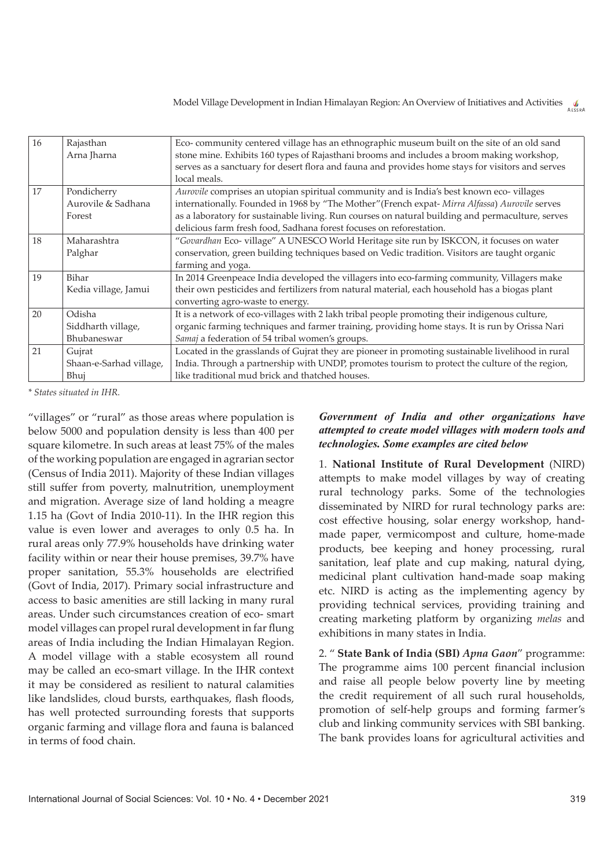| 16 | Rajasthan<br>Arna Jharna                    | Eco-community centered village has an ethnographic museum built on the site of an old sand<br>stone mine. Exhibits 160 types of Rajasthani brooms and includes a broom making workshop,<br>serves as a sanctuary for desert flora and fauna and provides home stays for visitors and serves<br>local meals.                                                           |
|----|---------------------------------------------|-----------------------------------------------------------------------------------------------------------------------------------------------------------------------------------------------------------------------------------------------------------------------------------------------------------------------------------------------------------------------|
| 17 | Pondicherry<br>Aurovile & Sadhana<br>Forest | Aurovile comprises an utopian spiritual community and is India's best known eco-villages<br>internationally. Founded in 1968 by "The Mother" (French expat- Mirra Alfassa) Aurovile serves<br>as a laboratory for sustainable living. Run courses on natural building and permaculture, serves<br>delicious farm fresh food, Sadhana forest focuses on reforestation. |
| 18 | Maharashtra<br>Palghar                      | "Govardhan Eco- village" A UNESCO World Heritage site run by ISKCON, it focuses on water<br>conservation, green building techniques based on Vedic tradition. Visitors are taught organic<br>farming and yoga.                                                                                                                                                        |
| 19 | Bihar<br>Kedia village, Jamui               | In 2014 Greenpeace India developed the villagers into eco-farming community, Villagers make<br>their own pesticides and fertilizers from natural material, each household has a biogas plant<br>converting agro-waste to energy.                                                                                                                                      |
| 20 | Odisha<br>Siddharth village,<br>Bhubaneswar | It is a network of eco-villages with 2 lakh tribal people promoting their indigenous culture,<br>organic farming techniques and farmer training, providing home stays. It is run by Orissa Nari<br>Samaj a federation of 54 tribal women's groups.                                                                                                                    |
| 21 | Gujrat<br>Shaan-e-Sarhad village,<br>Bhuj   | Located in the grasslands of Gujrat they are pioneer in promoting sustainable livelihood in rural<br>India. Through a partnership with UNDP, promotes tourism to protect the culture of the region,<br>like traditional mud brick and thatched houses.                                                                                                                |

*\* States situated in IHR.*

"villages" or "rural" as those areas where population is below 5000 and population density is less than 400 per square kilometre. In such areas at least 75% of the males of the working population are engaged in agrarian sector (Census of India 2011). Majority of these Indian villages still suffer from poverty, malnutrition, unemployment and migration. Average size of land holding a meagre 1.15 ha (Govt of India 2010-11). In the IHR region this value is even lower and averages to only 0.5 ha. In rural areas only 77.9% households have drinking water facility within or near their house premises, 39.7% have proper sanitation, 55.3% households are electrified (Govt of India, 2017). Primary social infrastructure and access to basic amenities are still lacking in many rural areas. Under such circumstances creation of eco- smart model villages can propel rural development in far flung areas of India including the Indian Himalayan Region. A model village with a stable ecosystem all round may be called an eco-smart village. In the IHR context it may be considered as resilient to natural calamities like landslides, cloud bursts, earthquakes, flash floods, has well protected surrounding forests that supports organic farming and village flora and fauna is balanced in terms of food chain.

#### *Government of India and other organizations have attempted to create model villages with modern tools and technologies. Some examples are cited below*

1. **National Institute of Rural Development** (NIRD) attempts to make model villages by way of creating rural technology parks. Some of the technologies disseminated by NIRD for rural technology parks are: cost effective housing, solar energy workshop, handmade paper, vermicompost and culture, home-made products, bee keeping and honey processing, rural sanitation, leaf plate and cup making, natural dying, medicinal plant cultivation hand-made soap making etc. NIRD is acting as the implementing agency by providing technical services, providing training and creating marketing platform by organizing *melas* and exhibitions in many states in India.

2. " **State Bank of India (SBI)** *Apna Gaon*" programme: The programme aims 100 percent financial inclusion and raise all people below poverty line by meeting the credit requirement of all such rural households, promotion of self-help groups and forming farmer's club and linking community services with SBI banking. The bank provides loans for agricultural activities and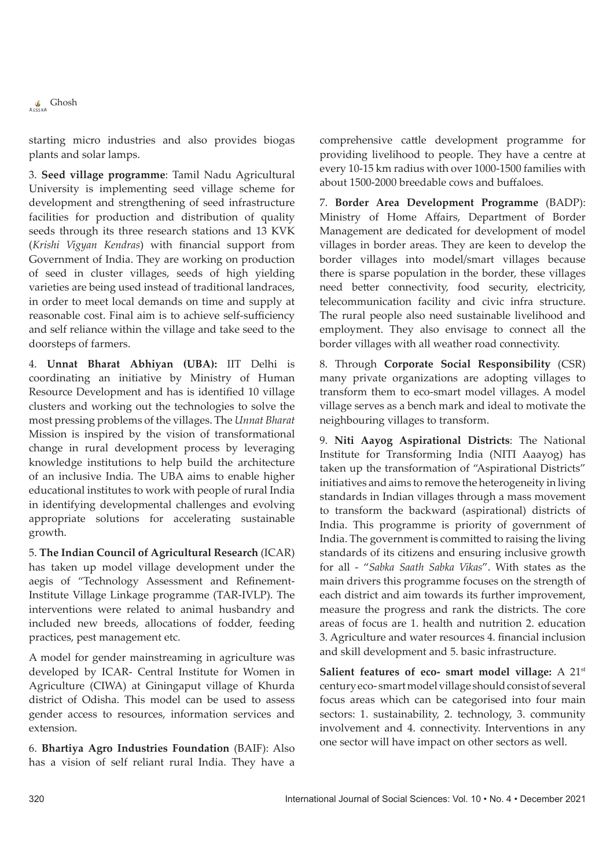$\int_{\text{AESRA}}$  Ghosh

starting micro industries and also provides biogas plants and solar lamps.

3. **Seed village programme**: Tamil Nadu Agricultural University is implementing seed village scheme for development and strengthening of seed infrastructure facilities for production and distribution of quality seeds through its three research stations and 13 KVK (*Krishi Vigyan Kendras*) with financial support from Government of India. They are working on production of seed in cluster villages, seeds of high yielding varieties are being used instead of traditional landraces, in order to meet local demands on time and supply at reasonable cost. Final aim is to achieve self-sufficiency and self reliance within the village and take seed to the doorsteps of farmers.

4. **Unnat Bharat Abhiyan (UBA):** IIT Delhi is coordinating an initiative by Ministry of Human Resource Development and has is identified 10 village clusters and working out the technologies to solve the most pressing problems of the villages. The *Unnat Bharat* Mission is inspired by the vision of transformational change in rural development process by leveraging knowledge institutions to help build the architecture of an inclusive India. The UBA aims to enable higher educational institutes to work with people of rural India in identifying developmental challenges and evolving appropriate solutions for accelerating sustainable growth.

5. **The Indian Council of Agricultural Research** (ICAR) has taken up model village development under the aegis of "Technology Assessment and Refinement-Institute Village Linkage programme (TAR-IVLP). The interventions were related to animal husbandry and included new breeds, allocations of fodder, feeding practices, pest management etc.

A model for gender mainstreaming in agriculture was developed by ICAR- Central Institute for Women in Agriculture (CIWA) at Giningaput village of Khurda district of Odisha. This model can be used to assess gender access to resources, information services and extension.

6. **Bhartiya Agro Industries Foundation** (BAIF): Also has a vision of self reliant rural India. They have a

comprehensive cattle development programme for providing livelihood to people. They have a centre at every 10-15 km radius with over 1000-1500 families with about 1500-2000 breedable cows and buffaloes.

7. **Border Area Development Programme** (BADP): Ministry of Home Affairs, Department of Border Management are dedicated for development of model villages in border areas. They are keen to develop the border villages into model/smart villages because there is sparse population in the border, these villages need better connectivity, food security, electricity, telecommunication facility and civic infra structure. The rural people also need sustainable livelihood and employment. They also envisage to connect all the border villages with all weather road connectivity.

8. Through **Corporate Social Responsibility** (CSR) many private organizations are adopting villages to transform them to eco-smart model villages. A model village serves as a bench mark and ideal to motivate the neighbouring villages to transform.

9. **Niti Aayog Aspirational Districts**: The National Institute for Transforming India (NITI Aaayog) has taken up the transformation of "Aspirational Districts" initiatives and aims to remove the heterogeneity in living standards in Indian villages through a mass movement to transform the backward (aspirational) districts of India. This programme is priority of government of India. The government is committed to raising the living standards of its citizens and ensuring inclusive growth for all - "*Sabka Saath Sabka Vikas*". With states as the main drivers this programme focuses on the strength of each district and aim towards its further improvement, measure the progress and rank the districts. The core areas of focus are 1. health and nutrition 2. education 3. Agriculture and water resources 4. financial inclusion and skill development and 5. basic infrastructure.

Salient features of eco- smart model village: A 21<sup>st</sup> century eco- smart model village should consist of several focus areas which can be categorised into four main sectors: 1. sustainability, 2. technology, 3. community involvement and 4. connectivity. Interventions in any one sector will have impact on other sectors as well.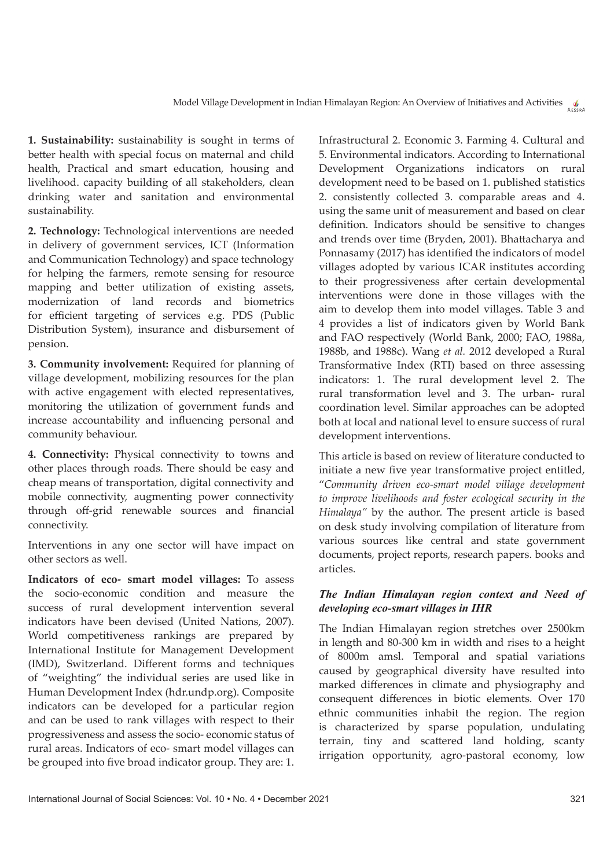**1. Sustainability:** sustainability is sought in terms of better health with special focus on maternal and child health, Practical and smart education, housing and livelihood. capacity building of all stakeholders, clean drinking water and sanitation and environmental sustainability.

**2. Technology:** Technological interventions are needed in delivery of government services, ICT (Information and Communication Technology) and space technology for helping the farmers, remote sensing for resource mapping and better utilization of existing assets, modernization of land records and biometrics for efficient targeting of services e.g. PDS (Public Distribution System), insurance and disbursement of pension.

**3. Community involvement:** Required for planning of village development, mobilizing resources for the plan with active engagement with elected representatives, monitoring the utilization of government funds and increase accountability and influencing personal and community behaviour.

**4. Connectivity:** Physical connectivity to towns and other places through roads. There should be easy and cheap means of transportation, digital connectivity and mobile connectivity, augmenting power connectivity through off-grid renewable sources and financial connectivity.

Interventions in any one sector will have impact on other sectors as well.

**Indicators of eco- smart model villages:** To assess the socio-economic condition and measure the success of rural development intervention several indicators have been devised (United Nations, 2007). World competitiveness rankings are prepared by International Institute for Management Development (IMD), Switzerland. Different forms and techniques of "weighting" the individual series are used like in Human Development Index (hdr.undp.org). Composite indicators can be developed for a particular region and can be used to rank villages with respect to their progressiveness and assess the socio- economic status of rural areas. Indicators of eco- smart model villages can be grouped into five broad indicator group. They are: 1.

Infrastructural 2. Economic 3. Farming 4. Cultural and 5. Environmental indicators. According to International Development Organizations indicators on rural development need to be based on 1. published statistics 2. consistently collected 3. comparable areas and 4. using the same unit of measurement and based on clear definition. Indicators should be sensitive to changes and trends over time (Bryden, 2001). Bhattacharya and Ponnasamy (2017) has identified the indicators of model villages adopted by various ICAR institutes according to their progressiveness after certain developmental interventions were done in those villages with the aim to develop them into model villages. Table 3 and 4 provides a list of indicators given by World Bank and FAO respectively (World Bank, 2000; FAO, 1988a, 1988b, and 1988c). Wang *et al.* 2012 developed a Rural Transformative Index (RTI) based on three assessing indicators: 1. The rural development level 2. The rural transformation level and 3. The urban- rural coordination level. Similar approaches can be adopted both at local and national level to ensure success of rural development interventions.

This article is based on review of literature conducted to initiate a new five year transformative project entitled, "*Community driven eco-smart model village development to improve livelihoods and foster ecological security in the Himalaya"* by the author. The present article is based on desk study involving compilation of literature from various sources like central and state government documents, project reports, research papers. books and articles.

## *The Indian Himalayan region context and Need of developing eco-smart villages in IHR*

The Indian Himalayan region stretches over 2500km in length and 80-300 km in width and rises to a height of 8000m amsl. Temporal and spatial variations caused by geographical diversity have resulted into marked differences in climate and physiography and consequent differences in biotic elements. Over 170 ethnic communities inhabit the region. The region is characterized by sparse population, undulating terrain, tiny and scattered land holding, scanty irrigation opportunity, agro-pastoral economy, low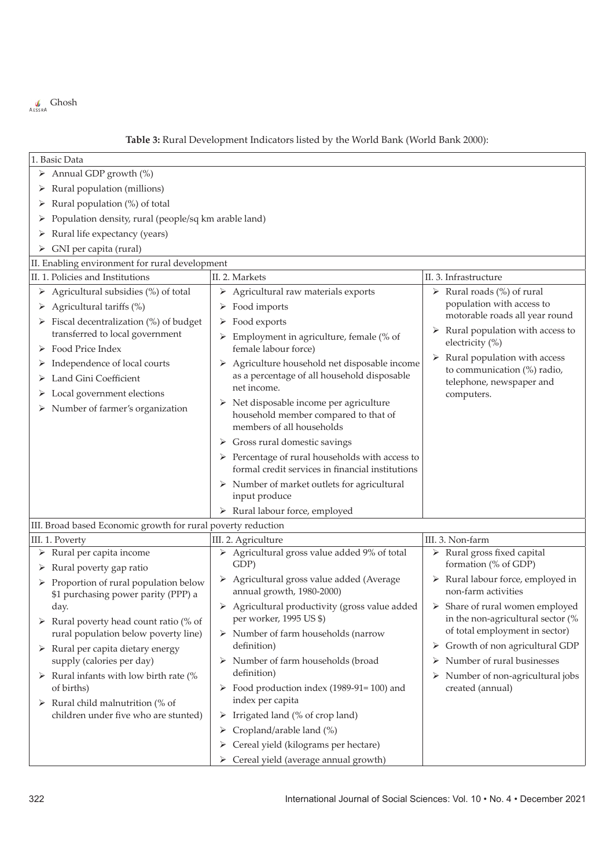

## **Table 3:** Rural Development Indicators listed by the World Bank (World Bank 2000):

| 1. Basic Data                                                                 |                                                                   |                                                                     |  |  |  |
|-------------------------------------------------------------------------------|-------------------------------------------------------------------|---------------------------------------------------------------------|--|--|--|
| $\triangleright$ Annual GDP growth (%)                                        |                                                                   |                                                                     |  |  |  |
| $\triangleright$ Rural population (millions)                                  |                                                                   |                                                                     |  |  |  |
| $\triangleright$ Rural population (%) of total                                |                                                                   |                                                                     |  |  |  |
| Population density, rural (people/sq km arable land)<br>➤                     |                                                                   |                                                                     |  |  |  |
| Rural life expectancy (years)<br>➤                                            |                                                                   |                                                                     |  |  |  |
| GNI per capita (rural)<br>➤                                                   |                                                                   |                                                                     |  |  |  |
| II. Enabling environment for rural development                                |                                                                   |                                                                     |  |  |  |
| II. 1. Policies and Institutions                                              | II. 2. Markets                                                    | II. 3. Infrastructure                                               |  |  |  |
| Agricultural subsidies (%) of total<br>➤                                      | $\triangleright$ Agricultural raw materials exports               | $\triangleright$ Rural roads (%) of rural                           |  |  |  |
| $\triangleright$ Agricultural tariffs (%)                                     | $\triangleright$ Food imports                                     | population with access to                                           |  |  |  |
| $\triangleright$ Fiscal decentralization (%) of budget                        | $\triangleright$ Food exports                                     | motorable roads all year round                                      |  |  |  |
| transferred to local government                                               | $\triangleright$ Employment in agriculture, female (% of          | $\triangleright$ Rural population with access to                    |  |  |  |
| Food Price Index                                                              | female labour force)                                              | electricity (%)                                                     |  |  |  |
| Independence of local courts<br>➤                                             | > Agriculture household net disposable income                     | Rural population with access<br>➤<br>to communication (%) radio,    |  |  |  |
| Land Gini Coefficient<br>➤                                                    | as a percentage of all household disposable                       | telephone, newspaper and                                            |  |  |  |
| Local government elections                                                    | net income.                                                       | computers.                                                          |  |  |  |
| Number of farmer's organization<br>➤                                          | $\triangleright$ Net disposable income per agriculture            |                                                                     |  |  |  |
|                                                                               | household member compared to that of<br>members of all households |                                                                     |  |  |  |
|                                                                               | $\triangleright$ Gross rural domestic savings                     |                                                                     |  |  |  |
|                                                                               | $\triangleright$ Percentage of rural households with access to    |                                                                     |  |  |  |
|                                                                               | formal credit services in financial institutions                  |                                                                     |  |  |  |
|                                                                               | $\triangleright$ Number of market outlets for agricultural        |                                                                     |  |  |  |
|                                                                               | input produce                                                     |                                                                     |  |  |  |
|                                                                               | > Rural labour force, employed                                    |                                                                     |  |  |  |
| III. Broad based Economic growth for rural poverty reduction                  |                                                                   |                                                                     |  |  |  |
| III. 1. Poverty                                                               | III. 2. Agriculture                                               | III. 3. Non-farm                                                    |  |  |  |
| $\triangleright$ Rural per capita income                                      | > Agricultural gross value added 9% of total                      | $\triangleright$ Rural gross fixed capital                          |  |  |  |
| $\triangleright$ Rural poverty gap ratio                                      | GDP)                                                              | formation (% of GDP)                                                |  |  |  |
| $\triangleright$ Proportion of rural population below                         | > Agricultural gross value added (Average                         | $\triangleright$ Rural labour force, employed in                    |  |  |  |
| \$1 purchasing power parity (PPP) a                                           | annual growth, 1980-2000)                                         | non-farm activities                                                 |  |  |  |
| day.                                                                          | $\triangleright$ Agricultural productivity (gross value added     | > Share of rural women employed                                     |  |  |  |
| Rural poverty head count ratio (% of                                          | per worker, 1995 US \$)                                           | in the non-agricultural sector (%<br>of total employment in sector) |  |  |  |
| rural population below poverty line)                                          | $\triangleright$ Number of farm households (narrow<br>definition) | Growth of non agricultural GDP<br>➤                                 |  |  |  |
| $\triangleright$ Rural per capita dietary energy<br>supply (calories per day) | Number of farm households (broad<br>➤                             | Number of rural businesses<br>➤                                     |  |  |  |
| $\triangleright$ Rural infants with low birth rate (%                         | definition)                                                       | Number of non-agricultural jobs<br>➤                                |  |  |  |
| of births)                                                                    | $\triangleright$ Food production index (1989-91=100) and          | created (annual)                                                    |  |  |  |
| $\triangleright$ Rural child malnutrition (% of                               | index per capita                                                  |                                                                     |  |  |  |
| children under five who are stunted)                                          | Irrigated land (% of crop land)<br>➤                              |                                                                     |  |  |  |
|                                                                               | Cropland/arable land (%)<br>➤                                     |                                                                     |  |  |  |
|                                                                               | Cereal yield (kilograms per hectare)<br>➤                         |                                                                     |  |  |  |
|                                                                               | > Cereal yield (average annual growth)                            |                                                                     |  |  |  |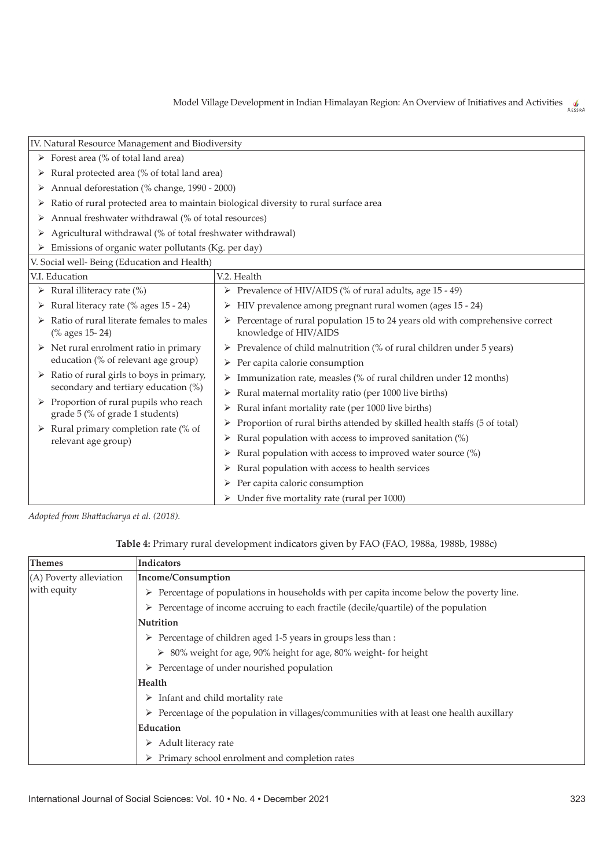| IV. Natural Resource Management and Biodiversity                                 |                                                                                                                                                |  |  |  |  |
|----------------------------------------------------------------------------------|------------------------------------------------------------------------------------------------------------------------------------------------|--|--|--|--|
| $\triangleright$ Forest area (% of total land area)                              |                                                                                                                                                |  |  |  |  |
| Rural protected area (% of total land area)<br>➤                                 |                                                                                                                                                |  |  |  |  |
| Annual deforestation (% change, 1990 - 2000)<br>➤                                |                                                                                                                                                |  |  |  |  |
|                                                                                  | Ratio of rural protected area to maintain biological diversity to rural surface area                                                           |  |  |  |  |
| Annual freshwater withdrawal (% of total resources)                              |                                                                                                                                                |  |  |  |  |
| Agricultural withdrawal (% of total freshwater withdrawal)                       |                                                                                                                                                |  |  |  |  |
| Emissions of organic water pollutants (Kg. per day)                              |                                                                                                                                                |  |  |  |  |
| V. Social well-Being (Education and Health)                                      |                                                                                                                                                |  |  |  |  |
| V.I. Education                                                                   | V.2. Health                                                                                                                                    |  |  |  |  |
| Rural illiteracy rate (%)<br>➤                                                   | > Prevalence of HIV/AIDS (% of rural adults, age 15 - 49)                                                                                      |  |  |  |  |
| Rural literacy rate (% ages 15 - 24)<br>➤                                        | $\triangleright$ HIV prevalence among pregnant rural women (ages 15 - 24)                                                                      |  |  |  |  |
| Ratio of rural literate females to males<br>(% ages 15-24)                       | $\triangleright$ Percentage of rural population 15 to 24 years old with comprehensive correct<br>knowledge of HIV/AIDS                         |  |  |  |  |
| Net rural enrolment ratio in primary<br>education (% of relevant age group)      | Prevalence of child malnutrition (% of rural children under 5 years)<br>$\triangleright$ Per capita calorie consumption                        |  |  |  |  |
| Ratio of rural girls to boys in primary,<br>secondary and tertiary education (%) | Immunization rate, measles (% of rural children under 12 months)<br>➤<br>Rural maternal mortality ratio (per 1000 live births)<br>➤            |  |  |  |  |
| Proportion of rural pupils who reach<br>grade 5 (% of grade 1 students)          | Rural infant mortality rate (per 1000 live births)<br>➤                                                                                        |  |  |  |  |
| Rural primary completion rate (% of<br>relevant age group)                       | Proportion of rural births attended by skilled health staffs (5 of total)<br>⋗<br>Rural population with access to improved sanitation (%)<br>➤ |  |  |  |  |
|                                                                                  | Rural population with access to improved water source (%)<br>➤<br>Rural population with access to health services                              |  |  |  |  |
|                                                                                  | Per capita caloric consumption<br>➤                                                                                                            |  |  |  |  |
|                                                                                  | $\triangleright$ Under five mortality rate (rural per 1000)                                                                                    |  |  |  |  |

*Adopted from Bhattacharya et al. (2018).*

| Table 4: Primary rural development indicators given by FAO (FAO, 1988a, 1988b, 1988c) |  |  |
|---------------------------------------------------------------------------------------|--|--|
|                                                                                       |  |  |

| <b>Themes</b>             | Indicators                                                                                               |
|---------------------------|----------------------------------------------------------------------------------------------------------|
| $(A)$ Poverty alleviation | Income/Consumption                                                                                       |
| with equity               | $\triangleright$ Percentage of populations in households with per capita income below the poverty line.  |
|                           | $\triangleright$ Percentage of income accruing to each fractile (decile/quartile) of the population      |
|                           | <b>Nutrition</b>                                                                                         |
|                           | $\triangleright$ Percentage of children aged 1-5 years in groups less than :                             |
|                           | ▶ 80% weight for age, 90% height for age, 80% weight- for height                                         |
|                           | $\triangleright$ Percentage of under nourished population                                                |
|                           | Health                                                                                                   |
|                           | $\triangleright$ Infant and child mortality rate                                                         |
|                           | $\triangleright$ Percentage of the population in villages/communities with at least one health auxillary |
|                           | Education                                                                                                |
|                           | Adult literacy rate<br>➤                                                                                 |
|                           | $\triangleright$ Primary school enrolment and completion rates                                           |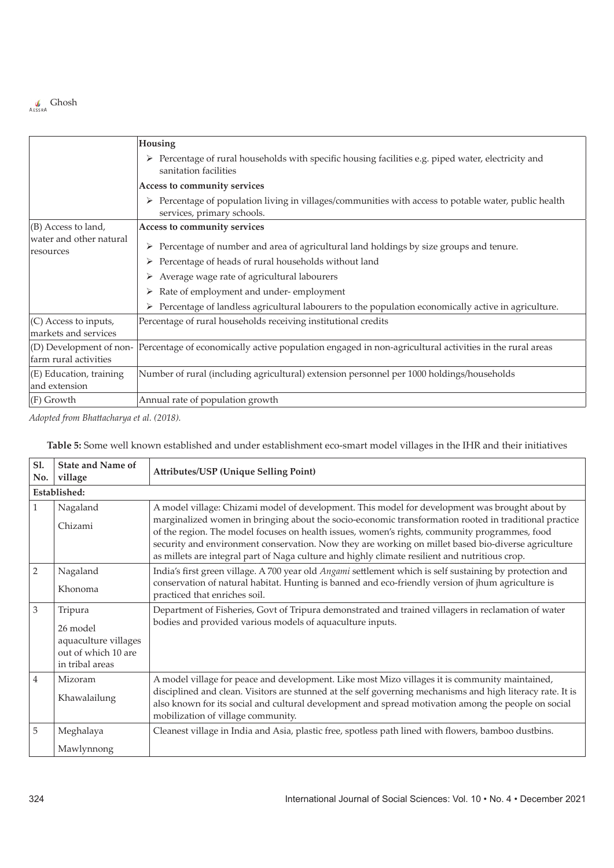

|                                                      | Housing                                                                                                                                |
|------------------------------------------------------|----------------------------------------------------------------------------------------------------------------------------------------|
|                                                      | > Percentage of rural households with specific housing facilities e.g. piped water, electricity and<br>sanitation facilities           |
|                                                      | Access to community services                                                                                                           |
|                                                      | Percentage of population living in villages/communities with access to potable water, public health<br>➤<br>services, primary schools. |
| $ $ (B) Access to land,                              | Access to community services                                                                                                           |
| water and other natural<br>resources                 | Percentage of number and area of agricultural land holdings by size groups and tenure.                                                 |
|                                                      | Percentage of heads of rural households without land<br>➤                                                                              |
|                                                      | Average wage rate of agricultural labourers<br>➤                                                                                       |
|                                                      | Rate of employment and under-employment<br>➤                                                                                           |
|                                                      | Percentage of landless agricultural labourers to the population economically active in agriculture.<br>➤                               |
| $(C)$ Access to inputs,<br>markets and services      | Percentage of rural households receiving institutional credits                                                                         |
| $ $ (D) Development of non-<br>farm rural activities | Percentage of economically active population engaged in non-agricultural activities in the rural areas                                 |
| (E) Education, training<br>and extension             | Number of rural (including agricultural) extension personnel per 1000 holdings/households                                              |
| $ F)$ Growth                                         | Annual rate of population growth                                                                                                       |

*Adopted from Bhattacharya et al. (2018).*

| Table 5: Some well known established and under establishment eco-smart model villages in the IHR and their initiatives |
|------------------------------------------------------------------------------------------------------------------------|
|------------------------------------------------------------------------------------------------------------------------|

| Sl.<br>No.     | <b>State and Name of</b><br>village                                                   | <b>Attributes/USP (Unique Selling Point)</b>                                                                                                                                                                                                                                                                                                                                                                                                                                                                      |  |
|----------------|---------------------------------------------------------------------------------------|-------------------------------------------------------------------------------------------------------------------------------------------------------------------------------------------------------------------------------------------------------------------------------------------------------------------------------------------------------------------------------------------------------------------------------------------------------------------------------------------------------------------|--|
|                | Established:                                                                          |                                                                                                                                                                                                                                                                                                                                                                                                                                                                                                                   |  |
| $\mathbf{1}$   | Nagaland<br>Chizami                                                                   | A model village: Chizami model of development. This model for development was brought about by<br>marginalized women in bringing about the socio-economic transformation rooted in traditional practice<br>of the region. The model focuses on health issues, women's rights, community programmes, food<br>security and environment conservation. Now they are working on millet based bio-diverse agriculture<br>as millets are integral part of Naga culture and highly climate resilient and nutritious crop. |  |
| $\overline{2}$ | Nagaland<br>Khonoma                                                                   | India's first green village. A 700 year old Angami settlement which is self sustaining by protection and<br>conservation of natural habitat. Hunting is banned and eco-friendly version of jhum agriculture is<br>practiced that enriches soil.                                                                                                                                                                                                                                                                   |  |
| 3              | Tripura<br>26 model<br>aquaculture villages<br>out of which 10 are<br>in tribal areas | Department of Fisheries, Govt of Tripura demonstrated and trained villagers in reclamation of water<br>bodies and provided various models of aquaculture inputs.                                                                                                                                                                                                                                                                                                                                                  |  |
| $\overline{4}$ | Mizoram<br>Khawalailung                                                               | A model village for peace and development. Like most Mizo villages it is community maintained,<br>disciplined and clean. Visitors are stunned at the self governing mechanisms and high literacy rate. It is<br>also known for its social and cultural development and spread motivation among the people on social<br>mobilization of village community.                                                                                                                                                         |  |
| 5              | Meghalaya<br>Mawlynnong                                                               | Cleanest village in India and Asia, plastic free, spotless path lined with flowers, bamboo dustbins.                                                                                                                                                                                                                                                                                                                                                                                                              |  |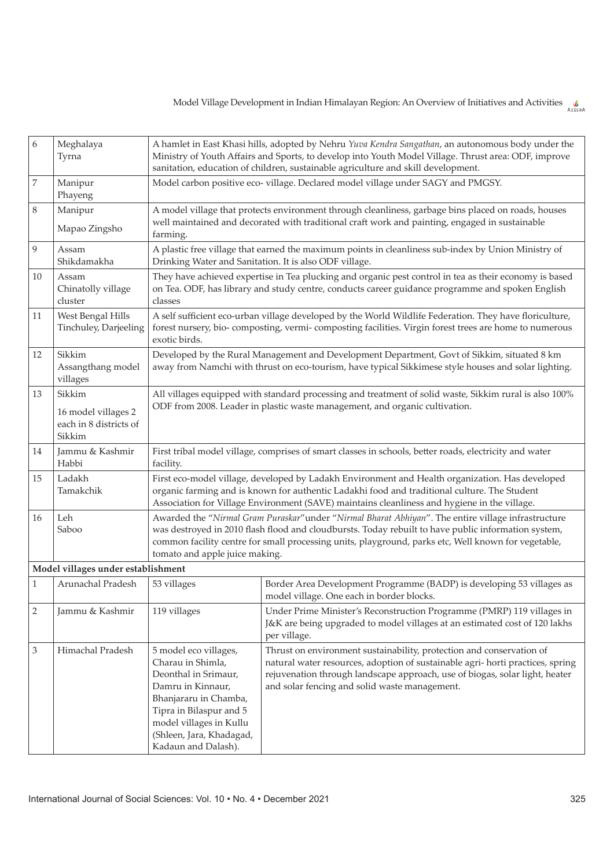6 Meghalaya Tyrna A hamlet in East Khasi hills, adopted by Nehru *Yuva Kendra Sangathan*, an autonomous body under the Ministry of Youth Affairs and Sports, to develop into Youth Model Village. Thrust area: ODF, improve sanitation, education of children, sustainable agriculture and skill development. 7 Manipur Phayeng Model carbon positive eco- village. Declared model village under SAGY and PMGSY. 8 Manipur Mapao Zingsho A model village that protects environment through cleanliness, garbage bins placed on roads, houses well maintained and decorated with traditional craft work and painting, engaged in sustainable farming. 9 Assam Shikdamakha A plastic free village that earned the maximum points in cleanliness sub-index by Union Ministry of Drinking Water and Sanitation. It is also ODF village.  $10$  Assam Chinatolly village cluster They have achieved expertise in Tea plucking and organic pest control in tea as their economy is based on Tea. ODF, has library and study centre, conducts career guidance programme and spoken English classes 11 West Bengal Hills Tinchuley, Darjeeling A self sufficient eco-urban village developed by the World Wildlife Federation. They have floriculture, forest nursery, bio- composting, vermi- composting facilities. Virgin forest trees are home to numerous exotic birds. 12 Sikkim Assangthang model villages Developed by the Rural Management and Development Department, Govt of Sikkim, situated 8 km away from Namchi with thrust on eco-tourism, have typical Sikkimese style houses and solar lighting. 13 Sikkim 16 model villages 2 each in 8 districts of Sikkim All villages equipped with standard processing and treatment of solid waste, Sikkim rural is also 100% ODF from 2008. Leader in plastic waste management, and organic cultivation. 14 Jammu & Kashmir Habbi First tribal model village, comprises of smart classes in schools, better roads, electricity and water facility. 15 Ladakh Tamakchik First eco-model village, developed by Ladakh Environment and Health organization. Has developed organic farming and is known for authentic Ladakhi food and traditional culture. The Student Association for Village Environment (SAVE) maintains cleanliness and hygiene in the village. 16 Leh Saboo Awarded the "*Nirmal Gram Puraskar*"under "*Nirmal Bharat Abhiyan*". The entire village infrastructure was destroyed in 2010 flash flood and cloudbursts. Today rebuilt to have public information system, common facility centre for small processing units, playground, parks etc, Well known for vegetable, tomato and apple juice making. **Model villages under establishment** 1 Arunachal Pradesh 53 villages Border Area Development Programme (BADP) is developing 53 villages as model village. One each in border blocks. 2 Jammu & Kashmir 119 villages Under Prime Minister's Reconstruction Programme (PMRP) 119 villages in J&K are being upgraded to model villages at an estimated cost of 120 lakhs per village. 3 | Himachal Pradesh | 5 model eco villages, Charau in Shimla, Deonthal in Srimaur, Damru in Kinnaur, Bhanjararu in Chamba, Tipra in Bilaspur and 5 model villages in Kullu (Shleen, Jara, Khadagad, Kadaun and Dalash). Thrust on environment sustainability, protection and conservation of natural water resources, adoption of sustainable agri- horti practices, spring rejuvenation through landscape approach, use of biogas, solar light, heater and solar fencing and solid waste management.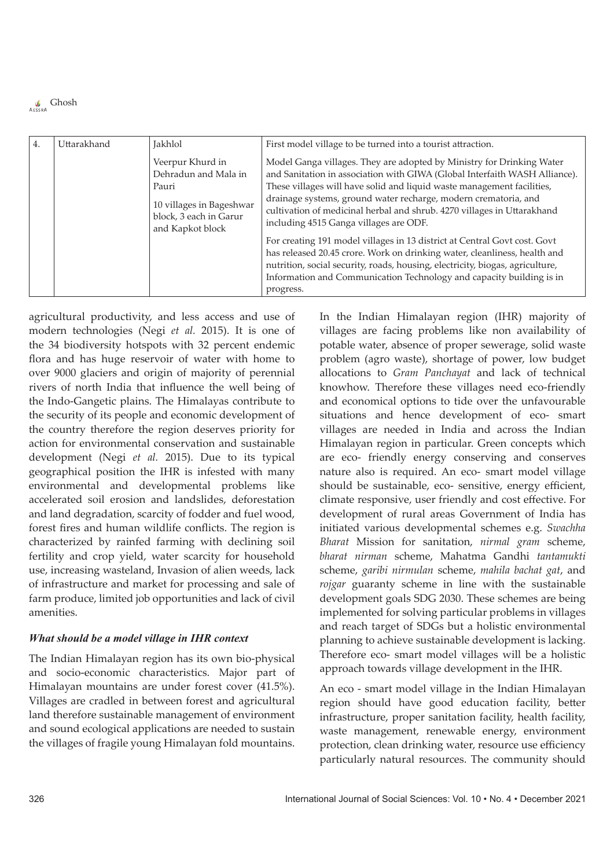| 4. | Uttarakhand | Jakhlol                                                                                                                     | First model village to be turned into a tourist attraction.                                                                                                                                                                                                                                                                                                                                                           |
|----|-------------|-----------------------------------------------------------------------------------------------------------------------------|-----------------------------------------------------------------------------------------------------------------------------------------------------------------------------------------------------------------------------------------------------------------------------------------------------------------------------------------------------------------------------------------------------------------------|
|    |             | Veerpur Khurd in<br>Dehradun and Mala in<br>Pauri<br>10 villages in Bageshwar<br>block, 3 each in Garur<br>and Kapkot block | Model Ganga villages. They are adopted by Ministry for Drinking Water<br>and Sanitation in association with GIWA (Global Interfaith WASH Alliance).<br>These villages will have solid and liquid waste management facilities,<br>drainage systems, ground water recharge, modern crematoria, and<br>cultivation of medicinal herbal and shrub. 4270 villages in Uttarakhand<br>including 4515 Ganga villages are ODF. |
|    |             |                                                                                                                             | For creating 191 model villages in 13 district at Central Govt cost. Govt<br>has released 20.45 crore. Work on drinking water, cleanliness, health and<br>nutrition, social security, roads, housing, electricity, biogas, agriculture,<br>Information and Communication Technology and capacity building is in<br>progress.                                                                                          |

agricultural productivity, and less access and use of modern technologies (Negi *et al.* 2015). It is one of the 34 biodiversity hotspots with 32 percent endemic flora and has huge reservoir of water with home to over 9000 glaciers and origin of majority of perennial rivers of north India that influence the well being of the Indo-Gangetic plains. The Himalayas contribute to the security of its people and economic development of the country therefore the region deserves priority for action for environmental conservation and sustainable development (Negi *et al.* 2015). Due to its typical geographical position the IHR is infested with many environmental and developmental problems like accelerated soil erosion and landslides, deforestation and land degradation, scarcity of fodder and fuel wood, forest fires and human wildlife conflicts. The region is characterized by rainfed farming with declining soil fertility and crop yield, water scarcity for household use, increasing wasteland, Invasion of alien weeds, lack of infrastructure and market for processing and sale of farm produce, limited job opportunities and lack of civil amenities.

### *What should be a model village in IHR context*

The Indian Himalayan region has its own bio-physical and socio-economic characteristics. Major part of Himalayan mountains are under forest cover (41.5%). Villages are cradled in between forest and agricultural land therefore sustainable management of environment and sound ecological applications are needed to sustain the villages of fragile young Himalayan fold mountains.

In the Indian Himalayan region (IHR) majority of villages are facing problems like non availability of potable water, absence of proper sewerage, solid waste problem (agro waste), shortage of power, low budget allocations to *Gram Panchayat* and lack of technical knowhow. Therefore these villages need eco-friendly and economical options to tide over the unfavourable situations and hence development of eco- smart villages are needed in India and across the Indian Himalayan region in particular. Green concepts which are eco- friendly energy conserving and conserves nature also is required. An eco- smart model village should be sustainable, eco- sensitive, energy efficient, climate responsive, user friendly and cost effective. For development of rural areas Government of India has initiated various developmental schemes e.g. *Swachha Bharat* Mission for sanitation, *nirmal gram* scheme, *bharat nirman* scheme, Mahatma Gandhi *tantamukti* scheme, *garibi nirmulan* scheme, *mahila bachat gat*, and *rojgar* guaranty scheme in line with the sustainable development goals SDG 2030. These schemes are being implemented for solving particular problems in villages and reach target of SDGs but a holistic environmental planning to achieve sustainable development is lacking. Therefore eco- smart model villages will be a holistic approach towards village development in the IHR.

An eco - smart model village in the Indian Himalayan region should have good education facility, better infrastructure, proper sanitation facility, health facility, waste management, renewable energy, environment protection, clean drinking water, resource use efficiency particularly natural resources. The community should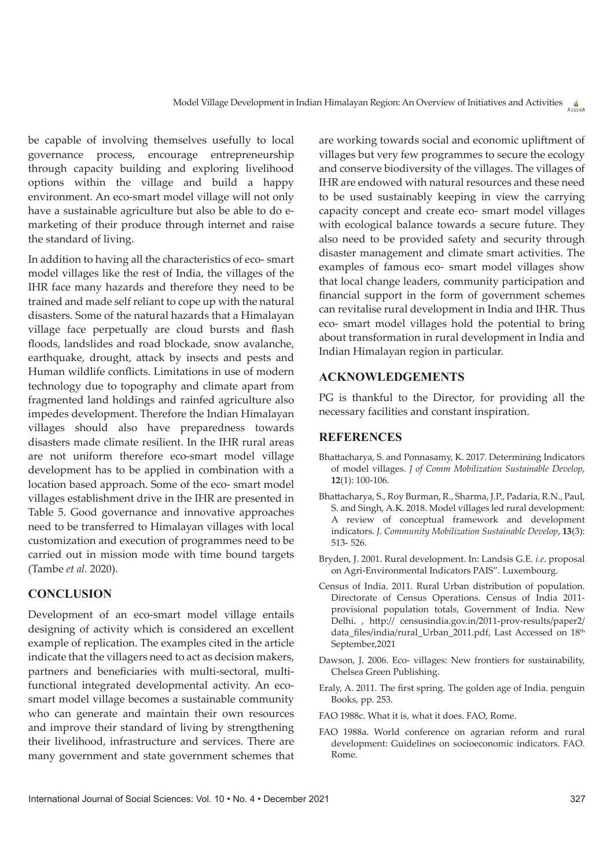be capable of involving themselves usefully to local governance process, encourage entrepreneurship through capacity building and exploring livelihood options within the village and build a happy environment. An eco-smart model village will not only have a sustainable agriculture but also be able to do emarketing of their produce through internet and raise the standard of living.

In addition to having all the characteristics of eco- smart model villages like the rest of India, the villages of the IHR face many hazards and therefore they need to be trained and made self reliant to cope up with the natural disasters. Some of the natural hazards that a Himalayan village face perpetually are cloud bursts and flash floods, landslides and road blockade, snow avalanche, earthquake, drought, attack by insects and pests and Human wildlife conflicts. Limitations in use of modern technology due to topography and climate apart from fragmented land holdings and rainfed agriculture also impedes development. Therefore the Indian Himalayan villages should also have preparedness towards disasters made climate resilient. In the IHR rural areas are not uniform therefore eco-smart model village development has to be applied in combination with a location based approach. Some of the eco- smart model villages establishment drive in the IHR are presented in Table 5. Good governance and innovative approaches need to be transferred to Himalayan villages with local customization and execution of programmes need to be carried out in mission mode with time bound targets (Tambe *et al.* 2020).

### **Conclusion**

Development of an eco-smart model village entails designing of activity which is considered an excellent example of replication. The examples cited in the article indicate that the villagers need to act as decision makers, partners and beneficiaries with multi-sectoral, multifunctional integrated developmental activity. An ecosmart model village becomes a sustainable community who can generate and maintain their own resources and improve their standard of living by strengthening their livelihood, infrastructure and services. There are many government and state government schemes that

are working towards social and economic upliftment of villages but very few programmes to secure the ecology and conserve biodiversity of the villages. The villages of IHR are endowed with natural resources and these need to be used sustainably keeping in view the carrying capacity concept and create eco- smart model villages with ecological balance towards a secure future. They also need to be provided safety and security through disaster management and climate smart activities. The examples of famous eco- smart model villages show that local change leaders, community participation and financial support in the form of government schemes can revitalise rural development in India and IHR. Thus eco- smart model villages hold the potential to bring about transformation in rural development in India and Indian Himalayan region in particular.

#### **Acknowledgements**

PG is thankful to the Director, for providing all the necessary facilities and constant inspiration.

#### **References**

- Bhattacharya, S. and Ponnasamy, K. 2017. Determining Indicators of model villages. *J of Comm Mobilization Sustainable Develop*, **12**(1): 100-106.
- Bhattacharya, S., Roy Burman, R., Sharma, J.P., Padaria, R.N., Paul, S. and Singh, A.K. 2018. Model villages led rural development: A review of conceptual framework and development indicators. *J. Community Mobilization Sustainable Develop*, **13**(3): 513- 526.
- Bryden, J. 2001. Rural development. In: Landsis G.E. *i.e.* proposal on Agri-Environmental Indicators PAIS". Luxembourg.
- Census of India. 2011. Rural Urban distribution of population. Directorate of Census Operations. Census of India 2011 provisional population totals, Government of India. New Delhi. , http:// censusindia.gov.in/2011-prov-results/paper2/ data\_files/india/rural\_Urban\_2011.pdf, Last Accessed on 18<sup>th</sup> September,2021
- Dawson, J. 2006. Eco- villages: New frontiers for sustainability, Chelsea Green Publishing.
- Eraly, A. 2011. The first spring. The golden age of India. penguin Books, pp. 253.
- FAO 1988c. What it is, what it does. FAO, Rome.
- FAO 1988a. World conference on agrarian reform and rural development: Guidelines on socioeconomic indicators. FAO. Rome.